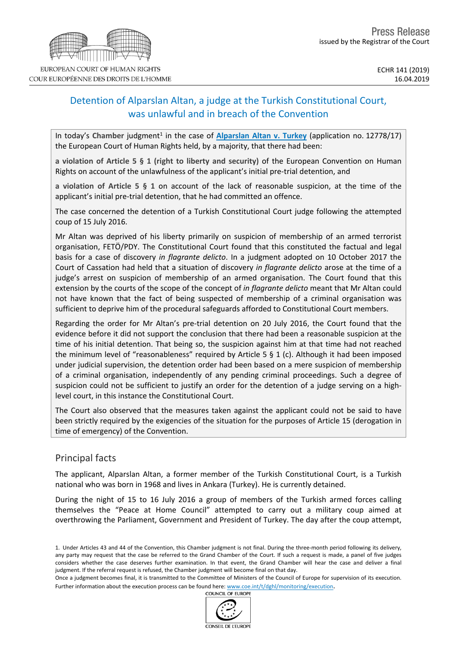# Detention of Alparslan Altan, a judge at the Turkish Constitutional Court, was unlawful and in breach of the Convention

In today's Chamber judgment<sup>1</sup> in the case of **[Alparslan](http://hudoc.echr.coe.int/eng?i=001-192804) Altan v. Turkey** (application no. 12778/17) the European Court of Human Rights held, by a majority, that there had been:

**a violation of Article 5 § 1 (right to liberty and security)** of the European Convention on Human Rights on account of the unlawfulness of the applicant's initial pre-trial detention, and

**a violation of Article 5 § 1** on account of the lack of reasonable suspicion, at the time of the applicant's initial pre-trial detention, that he had committed an offence.

The case concerned the detention of a Turkish Constitutional Court judge following the attempted coup of 15 July 2016.

Mr Altan was deprived of his liberty primarily on suspicion of membership of an armed terrorist organisation, FETÖ/PDY. The Constitutional Court found that this constituted the factual and legal basis for a case of discovery *in flagrante delicto*. In a judgment adopted on 10 October 2017 the Court of Cassation had held that a situation of discovery *in flagrante delicto* arose at the time of a judge's arrest on suspicion of membership of an armed organisation. The Court found that this extension by the courts of the scope of the concept of *in flagrante delicto* meant that Mr Altan could not have known that the fact of being suspected of membership of a criminal organisation was sufficient to deprive him of the procedural safeguards afforded to Constitutional Court members.

Regarding the order for Mr Altan's pre-trial detention on 20 July 2016, the Court found that the evidence before it did not support the conclusion that there had been a reasonable suspicion at the time of his initial detention. That being so, the suspicion against him at that time had not reached the minimum level of "reasonableness" required by Article 5  $\S$  1 (c). Although it had been imposed under judicial supervision, the detention order had been based on a mere suspicion of membership of a criminal organisation, independently of any pending criminal proceedings. Such a degree of suspicion could not be sufficient to justify an order for the detention of a judge serving on a highlevel court, in this instance the Constitutional Court.

The Court also observed that the measures taken against the applicant could not be said to have been strictly required by the exigencies of the situation for the purposes of Article 15 (derogation in time of emergency) of the Convention.

# Principal facts

The applicant, Alparslan Altan, a former member of the Turkish Constitutional Court, is a Turkish national who was born in 1968 and lives in Ankara (Turkey). He is currently detained.

During the night of 15 to 16 July 2016 a group of members of the Turkish armed forces calling themselves the "Peace at Home Council" attempted to carry out a military coup aimed at overthrowing the Parliament, Government and President of Turkey. The day after the coup attempt,



<sup>1.</sup> Under Articles 43 and 44 of the Convention, this Chamber judgment is not final. During the three-month period following its delivery, any party may request that the case be referred to the Grand Chamber of the Court. If such a request is made, a panel of five judges considers whether the case deserves further examination. In that event, the Grand Chamber will hear the case and deliver a final judgment. If the referral request is refused, the Chamber judgment will become final on that day.

Once a judgment becomes final, it is transmitted to the Committee of Ministers of the Council of Europe for supervision of its execution. Further information about the execution process can be found here: [www.coe.int/t/dghl/monitoring/execution](http://www.coe.int/t/dghl/monitoring/execution).<br>COUNCIL OF EUROPE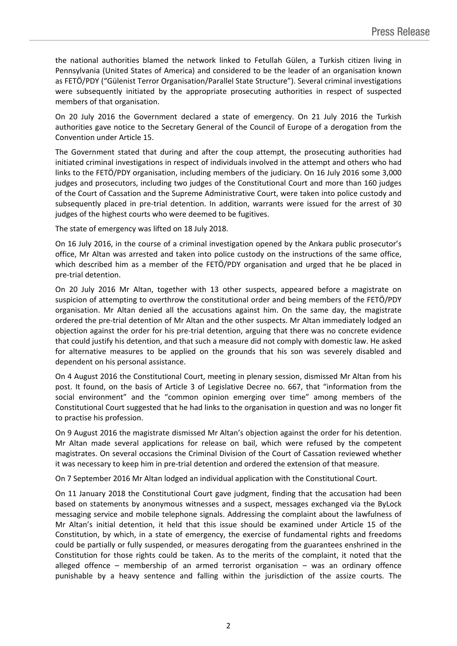the national authorities blamed the network linked to Fetullah Gülen, a Turkish citizen living in Pennsylvania (United States of America) and considered to be the leader of an organisation known as FETÖ/PDY ("Gülenist Terror Organisation/Parallel State Structure"). Several criminal investigations were subsequently initiated by the appropriate prosecuting authorities in respect of suspected members of that organisation.

On 20 July 2016 the Government declared a state of emergency. On 21 July 2016 the Turkish authorities gave notice to the Secretary General of the Council of Europe of a derogation from the Convention under Article 15.

The Government stated that during and after the coup attempt, the prosecuting authorities had initiated criminal investigations in respect of individuals involved in the attempt and others who had links to the FETÖ/PDY organisation, including members of the judiciary. On 16 July 2016 some 3,000 judges and prosecutors, including two judges of the Constitutional Court and more than 160 judges of the Court of Cassation and the Supreme Administrative Court, were taken into police custody and subsequently placed in pre-trial detention. In addition, warrants were issued for the arrest of 30 judges of the highest courts who were deemed to be fugitives.

The state of emergency was lifted on 18 July 2018.

On 16 July 2016, in the course of a criminal investigation opened by the Ankara public prosecutor's office, Mr Altan was arrested and taken into police custody on the instructions of the same office, which described him as a member of the FETÖ/PDY organisation and urged that he be placed in pre-trial detention.

On 20 July 2016 Mr Altan, together with 13 other suspects, appeared before a magistrate on suspicion of attempting to overthrow the constitutional order and being members of the FETÖ/PDY organisation. Mr Altan denied all the accusations against him. On the same day, the magistrate ordered the pre-trial detention of Mr Altan and the other suspects. Mr Altan immediately lodged an objection against the order for his pre-trial detention, arguing that there was no concrete evidence that could justify his detention, and that such a measure did not comply with domestic law. He asked for alternative measures to be applied on the grounds that his son was severely disabled and dependent on his personal assistance.

On 4 August 2016 the Constitutional Court, meeting in plenary session, dismissed Mr Altan from his post. It found, on the basis of Article 3 of Legislative Decree no. 667, that "information from the social environment" and the "common opinion emerging over time" among members of the Constitutional Court suggested that he had links to the organisation in question and was no longer fit to practise his profession.

On 9 August 2016 the magistrate dismissed Mr Altan's objection against the order for his detention. Mr Altan made several applications for release on bail, which were refused by the competent magistrates. On several occasions the Criminal Division of the Court of Cassation reviewed whether it was necessary to keep him in pre-trial detention and ordered the extension of that measure.

On 7 September 2016 Mr Altan lodged an individual application with the Constitutional Court.

On 11 January 2018 the Constitutional Court gave judgment, finding that the accusation had been based on statements by anonymous witnesses and a suspect, messages exchanged via the ByLock messaging service and mobile telephone signals. Addressing the complaint about the lawfulness of Mr Altan's initial detention, it held that this issue should be examined under Article 15 of the Constitution, by which, in a state of emergency, the exercise of fundamental rights and freedoms could be partially or fully suspended, or measures derogating from the guarantees enshrined in the Constitution for those rights could be taken. As to the merits of the complaint, it noted that the alleged offence – membership of an armed terrorist organisation – was an ordinary offence punishable by a heavy sentence and falling within the jurisdiction of the assize courts. The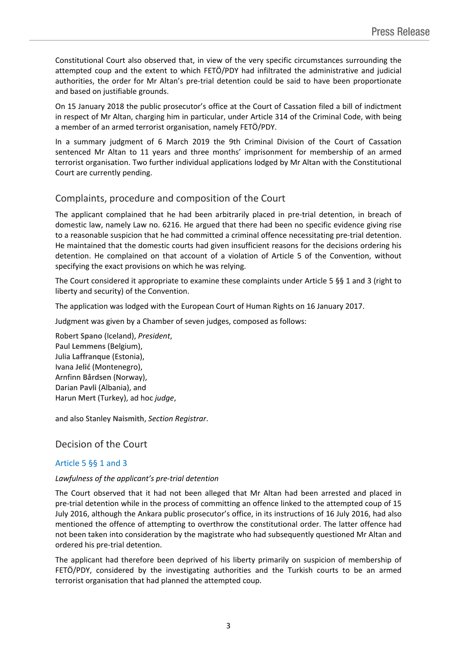Constitutional Court also observed that, in view of the very specific circumstances surrounding the attempted coup and the extent to which FETÖ/PDY had infiltrated the administrative and judicial authorities, the order for Mr Altan's pre-trial detention could be said to have been proportionate and based on justifiable grounds.

On 15 January 2018 the public prosecutor's office at the Court of Cassation filed a bill of indictment in respect of Mr Altan, charging him in particular, under Article 314 of the Criminal Code, with being a member of an armed terrorist organisation, namely FETÖ/PDY.

In a summary judgment of 6 March 2019 the 9th Criminal Division of the Court of Cassation sentenced Mr Altan to 11 years and three months' imprisonment for membership of an armed terrorist organisation. Two further individual applications lodged by Mr Altan with the Constitutional Court are currently pending.

# Complaints, procedure and composition of the Court

The applicant complained that he had been arbitrarily placed in pre-trial detention, in breach of domestic law, namely Law no. 6216. He argued that there had been no specific evidence giving rise to a reasonable suspicion that he had committed a criminal offence necessitating pre-trial detention. He maintained that the domestic courts had given insufficient reasons for the decisions ordering his detention. He complained on that account of a violation of Article 5 of the Convention, without specifying the exact provisions on which he was relying.

The Court considered it appropriate to examine these complaints under Article 5 §§ 1 and 3 (right to liberty and security) of the Convention.

The application was lodged with the European Court of Human Rights on 16 January 2017.

Judgment was given by a Chamber of seven judges, composed as follows:

Robert **Spano** (Iceland), *President*, Paul **Lemmens** (Belgium), Julia **Laffranque** (Estonia), Ivana **Jelić** (Montenegro), Arnfinn **Bårdsen** (Norway), Darian **Pavli** (Albania), and Harun **Mert** (Turkey), ad hoc *judge*,

and also Stanley **Naismith**, *Section Registrar*.

# Decision of the Court

### Article 5 §§ 1 and 3

### *Lawfulness of the applicant's pre-trial detention*

The Court observed that it had not been alleged that Mr Altan had been arrested and placed in pre-trial detention while in the process of committing an offence linked to the attempted coup of 15 July 2016, although the Ankara public prosecutor's office, in its instructions of 16 July 2016, had also mentioned the offence of attempting to overthrow the constitutional order. The latter offence had not been taken into consideration by the magistrate who had subsequently questioned Mr Altan and ordered his pre-trial detention.

The applicant had therefore been deprived of his liberty primarily on suspicion of membership of FETÖ/PDY, considered by the investigating authorities and the Turkish courts to be an armed terrorist organisation that had planned the attempted coup.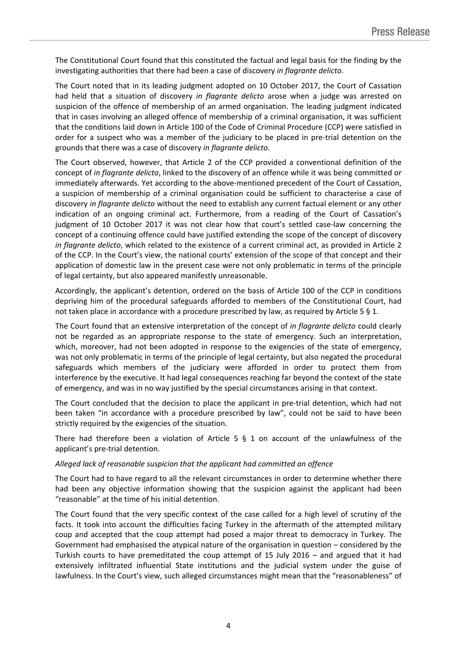The Constitutional Court found that this constituted the factual and legal basis for the finding by the investigating authorities that there had been a case of discovery *in flagrante delicto*.

The Court noted that in its leading judgment adopted on 10 October 2017, the Court of Cassation had held that a situation of discovery *in flagrante delicto* arose when a judge was arrested on suspicion of the offence of membership of an armed organisation. The leading judgment indicated that in cases involving an alleged offence of membership of a criminal organisation, it was sufficient that the conditions laid down in Article 100 of the Code of Criminal Procedure (CCP) were satisfied in order for a suspect who was a member of the judiciary to be placed in pre-trial detention on the grounds that there was a case of discovery *in flagrante delicto*.

The Court observed, however, that Article 2 of the CCP provided a conventional definition of the concept of *in flagrante delicto*, linked to the discovery of an offence while it was being committed or immediately afterwards. Yet according to the above-mentioned precedent of the Court of Cassation, a suspicion of membership of a criminal organisation could be sufficient to characterise a case of discovery *in flagrante delicto* without the need to establish any current factual element or any other indication of an ongoing criminal act. Furthermore, from a reading of the Court of Cassation's judgment of 10 October 2017 it was not clear how that court's settled case-law concerning the concept of a continuing offence could have justified extending the scope of the concept of discovery *in flagrante delicto*, which related to the existence of a current criminal act, as provided in Article 2 of the CCP. In the Court's view, the national courts' extension of the scope of that concept and their application of domestic law in the present case were not only problematic in terms of the principle of legal certainty, but also appeared manifestly unreasonable.

Accordingly, the applicant's detention, ordered on the basis of Article 100 of the CCP in conditions depriving him of the procedural safeguards afforded to members of the Constitutional Court, had not taken place in accordance with a procedure prescribed by law, as required by Article 5 § 1.

The Court found that an extensive interpretation of the concept of *in flagrante delicto* could clearly not be regarded as an appropriate response to the state of emergency. Such an interpretation, which, moreover, had not been adopted in response to the exigencies of the state of emergency, was not only problematic in terms of the principle of legal certainty, but also negated the procedural safeguards which members of the judiciary were afforded in order to protect them from interference by the executive. It had legal consequences reaching far beyond the context of the state of emergency, and was in no way justified by the special circumstances arising in that context.

The Court concluded that the decision to place the applicant in pre-trial detention, which had not been taken "in accordance with a procedure prescribed by law", could not be said to have been strictly required by the exigencies of the situation.

There had therefore been a violation of Article 5  $\S$  1 on account of the unlawfulness of the applicant's pre-trial detention.

#### *Alleged lack of reasonable suspicion that the applicant had committed an offence*

The Court had to have regard to all the relevant circumstances in order to determine whether there had been any objective information showing that the suspicion against the applicant had been "reasonable" at the time of his initial detention.

The Court found that the very specific context of the case called for a high level of scrutiny of the facts. It took into account the difficulties facing Turkey in the aftermath of the attempted military coup and accepted that the coup attempt had posed a major threat to democracy in Turkey. The Government had emphasised the atypical nature of the organisation in question – considered by the Turkish courts to have premeditated the coup attempt of 15 July 2016 – and argued that it had extensively infiltrated influential State institutions and the judicial system under the guise of lawfulness. In the Court's view, such alleged circumstances might mean that the "reasonableness" of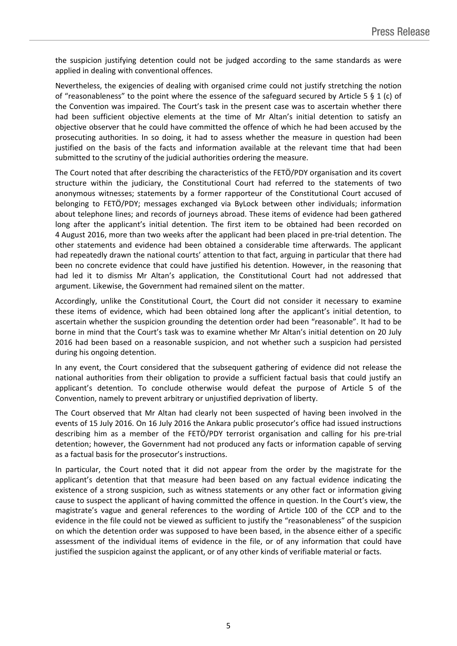the suspicion justifying detention could not be judged according to the same standards as were applied in dealing with conventional offences.

Nevertheless, the exigencies of dealing with organised crime could not justify stretching the notion of "reasonableness" to the point where the essence of the safeguard secured by Article 5 § 1 (c) of the Convention was impaired. The Court's task in the present case was to ascertain whether there had been sufficient objective elements at the time of Mr Altan's initial detention to satisfy an objective observer that he could have committed the offence of which he had been accused by the prosecuting authorities. In so doing, it had to assess whether the measure in question had been justified on the basis of the facts and information available at the relevant time that had been submitted to the scrutiny of the judicial authorities ordering the measure.

The Court noted that after describing the characteristics of the FETÖ/PDY organisation and its covert structure within the judiciary, the Constitutional Court had referred to the statements of two anonymous witnesses; statements by a former rapporteur of the Constitutional Court accused of belonging to FETÖ/PDY; messages exchanged via ByLock between other individuals; information about telephone lines; and records of journeys abroad. These items of evidence had been gathered long after the applicant's initial detention. The first item to be obtained had been recorded on 4 August 2016, more than two weeks after the applicant had been placed in pre-trial detention. The other statements and evidence had been obtained a considerable time afterwards. The applicant had repeatedly drawn the national courts' attention to that fact, arguing in particular that there had been no concrete evidence that could have justified his detention. However, in the reasoning that had led it to dismiss Mr Altan's application, the Constitutional Court had not addressed that argument. Likewise, the Government had remained silent on the matter.

Accordingly, unlike the Constitutional Court, the Court did not consider it necessary to examine these items of evidence, which had been obtained long after the applicant's initial detention, to ascertain whether the suspicion grounding the detention order had been "reasonable". It had to be borne in mind that the Court's task was to examine whether Mr Altan's initial detention on 20 July 2016 had been based on a reasonable suspicion, and not whether such a suspicion had persisted during his ongoing detention.

In any event, the Court considered that the subsequent gathering of evidence did not release the national authorities from their obligation to provide a sufficient factual basis that could justify an applicant's detention. To conclude otherwise would defeat the purpose of Article 5 of the Convention, namely to prevent arbitrary or unjustified deprivation of liberty.

The Court observed that Mr Altan had clearly not been suspected of having been involved in the events of 15 July 2016. On 16 July 2016 the Ankara public prosecutor's office had issued instructions describing him as a member of the FETÖ/PDY terrorist organisation and calling for his pre-trial detention; however, the Government had not produced any facts or information capable of serving as a factual basis for the prosecutor's instructions.

In particular, the Court noted that it did not appear from the order by the magistrate for the applicant's detention that that measure had been based on any factual evidence indicating the existence of a strong suspicion, such as witness statements or any other fact or information giving cause to suspect the applicant of having committed the offence in question. In the Court's view, the magistrate's vague and general references to the wording of Article 100 of the CCP and to the evidence in the file could not be viewed as sufficient to justify the "reasonableness" of the suspicion on which the detention order was supposed to have been based, in the absence either of a specific assessment of the individual items of evidence in the file, or of any information that could have justified the suspicion against the applicant, or of any other kinds of verifiable material or facts.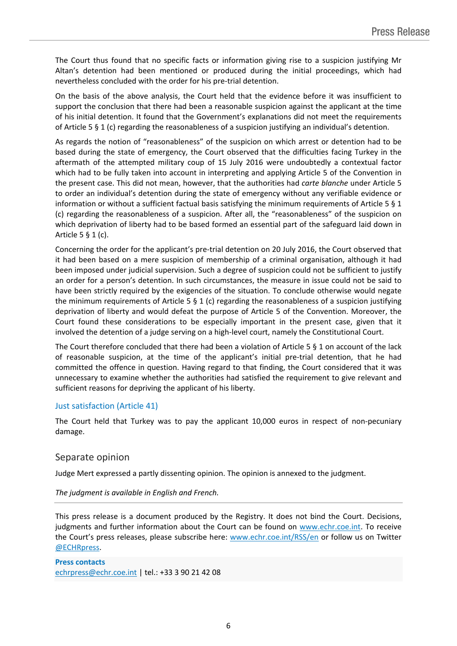The Court thus found that no specific facts or information giving rise to a suspicion justifying Mr Altan's detention had been mentioned or produced during the initial proceedings, which had nevertheless concluded with the order for his pre-trial detention.

On the basis of the above analysis, the Court held that the evidence before it was insufficient to support the conclusion that there had been a reasonable suspicion against the applicant at the time of his initial detention. It found that the Government's explanations did not meet the requirements of Article 5 § 1 (c) regarding the reasonableness of a suspicion justifying an individual's detention.

As regards the notion of "reasonableness" of the suspicion on which arrest or detention had to be based during the state of emergency, the Court observed that the difficulties facing Turkey in the aftermath of the attempted military coup of 15 July 2016 were undoubtedly a contextual factor which had to be fully taken into account in interpreting and applying Article 5 of the Convention in the present case. This did not mean, however, that the authorities had *carte blanche* under Article 5 to order an individual's detention during the state of emergency without any verifiable evidence or information or without a sufficient factual basis satisfying the minimum requirements of Article 5 § 1 (c) regarding the reasonableness of a suspicion. After all, the "reasonableness" of the suspicion on which deprivation of liberty had to be based formed an essential part of the safeguard laid down in Article 5 § 1 (c).

Concerning the order for the applicant's pre-trial detention on 20 July 2016, the Court observed that it had been based on a mere suspicion of membership of a criminal organisation, although it had been imposed under judicial supervision. Such a degree of suspicion could not be sufficient to justify an order for a person's detention. In such circumstances, the measure in issue could not be said to have been strictly required by the exigencies of the situation. To conclude otherwise would negate the minimum requirements of Article 5  $\S$  1 (c) regarding the reasonableness of a suspicion justifying deprivation of liberty and would defeat the purpose of Article 5 of the Convention. Moreover, the Court found these considerations to be especially important in the present case, given that it involved the detention of a judge serving on a high-level court, namely the Constitutional Court.

The Court therefore concluded that there had been a violation of Article 5 § 1 on account of the lack of reasonable suspicion, at the time of the applicant's initial pre-trial detention, that he had committed the offence in question. Having regard to that finding, the Court considered that it was unnecessary to examine whether the authorities had satisfied the requirement to give relevant and sufficient reasons for depriving the applicant of his liberty.

#### Just satisfaction (Article 41)

The Court held that Turkey was to pay the applicant 10,000 euros in respect of non-pecuniary damage.

### Separate opinion

Judge Mert expressed a partly dissenting opinion. The opinion is annexed to the judgment.

#### *The judgment is available in English and French.*

This press release is a document produced by the Registry. It does not bind the Court. Decisions, judgments and further information about the Court can be found on [www.echr.coe.int](http://www.echr.coe.int/). To receive the Court's press releases, please subscribe here: [www.echr.coe.int/RSS/en](http://www.echr.coe.int/RSS/en) or follow us on Twitter [@ECHRpress.](https://twitter.com/ECHR_Press)

**Press contacts** [echrpress@echr.coe.int](mailto:Echrpress@echr.coe.int) | tel.: +33 3 90 21 42 08